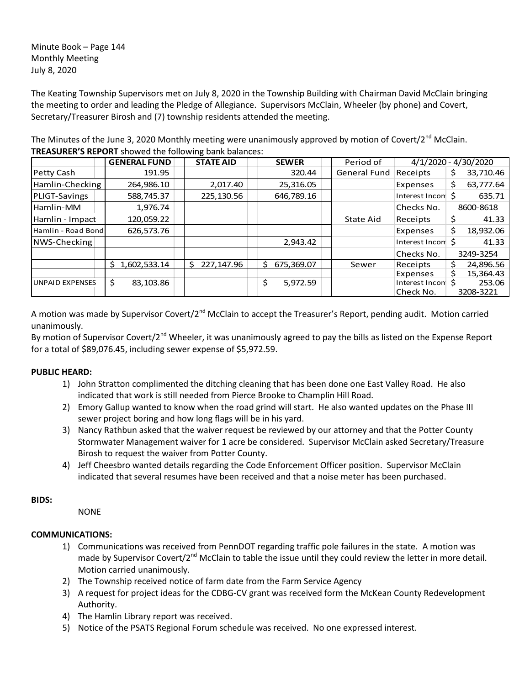Minute Book – Page 144 Monthly Meeting July 8, 2020

The Keating Township Supervisors met on July 8, 2020 in the Township Building with Chairman David McClain bringing the meeting to order and leading the Pledge of Allegiance. Supervisors McClain, Wheeler (by phone) and Covert, Secretary/Treasurer Birosh and (7) township residents attended the meeting.

The Minutes of the June 3, 2020 Monthly meeting were unanimously approved by motion of Covert/2<sup>nd</sup> McClain. **TREASURER'S REPORT** showed the following bank balances:

|                        | <b>GENERAL FUND</b> | <b>STATE AID</b> | <b>SEWER</b>     | Period of    |                   | 4/1/2020 - 4/30/2020 |
|------------------------|---------------------|------------------|------------------|--------------|-------------------|----------------------|
| Petty Cash             | 191.95              |                  | 320.44           | General Fund | Receipts          | 33,710.46            |
| Hamlin-Checking        | 264,986.10          | 2,017.40         | 25,316.05        |              | Expenses          | 63,777.64<br>Ś       |
| PLIGT-Savings          | 588,745.37          | 225,130.56       | 646,789.16       |              | Interest Incom \$ | 635.71               |
| Hamlin-MM              | 1,976.74            |                  |                  |              | Checks No.        | 8600-8618            |
| Hamlin - Impact        | 120,059.22          |                  |                  | State Aid    | Receipts          | 41.33<br>\$          |
| Hamlin - Road Bond     | 626,573.76          |                  |                  |              | Expenses          | Ś<br>18,932.06       |
| NWS-Checking           |                     |                  | 2,943.42         |              | Interest Incom \$ | 41.33                |
|                        |                     |                  |                  |              | Checks No.        | 3249-3254            |
|                        | 1,602,533.14<br>S.  | 227.147.96<br>S. | Ŝ.<br>675,369.07 | Sewer        | Receipts          | 24,896.56            |
|                        |                     |                  |                  |              | Expenses          | 15,364.43            |
| <b>UNPAID EXPENSES</b> | 83,103.86           |                  | 5.972.59<br>S    |              | Interest Incon    | 253.06               |
|                        |                     |                  |                  |              | Check No.         | 3208-3221            |

A motion was made by Supervisor Covert/2<sup>nd</sup> McClain to accept the Treasurer's Report, pending audit. Motion carried unanimously.

By motion of Supervisor Covert/2<sup>nd</sup> Wheeler, it was unanimously agreed to pay the bills as listed on the Expense Report for a total of \$89,076.45, including sewer expense of \$5,972.59.

# **PUBLIC HEARD:**

- 1) John Stratton complimented the ditching cleaning that has been done one East Valley Road. He also indicated that work is still needed from Pierce Brooke to Champlin Hill Road.
- 2) Emory Gallup wanted to know when the road grind will start. He also wanted updates on the Phase III sewer project boring and how long flags will be in his yard.
- 3) Nancy Rathbun asked that the waiver request be reviewed by our attorney and that the Potter County Stormwater Management waiver for 1 acre be considered. Supervisor McClain asked Secretary/Treasure Birosh to request the waiver from Potter County.
- 4) Jeff Cheesbro wanted details regarding the Code Enforcement Officer position. Supervisor McClain indicated that several resumes have been received and that a noise meter has been purchased.

## **BIDS:**

NONE

# **COMMUNICATIONS:**

- 1) Communications was received from PennDOT regarding traffic pole failures in the state. A motion was made by Supervisor Covert/2<sup>nd</sup> McClain to table the issue until they could review the letter in more detail. Motion carried unanimously.
- 2) The Township received notice of farm date from the Farm Service Agency
- 3) A request for project ideas for the CDBG-CV grant was received form the McKean County Redevelopment Authority.
- 4) The Hamlin Library report was received.
- 5) Notice of the PSATS Regional Forum schedule was received. No one expressed interest.